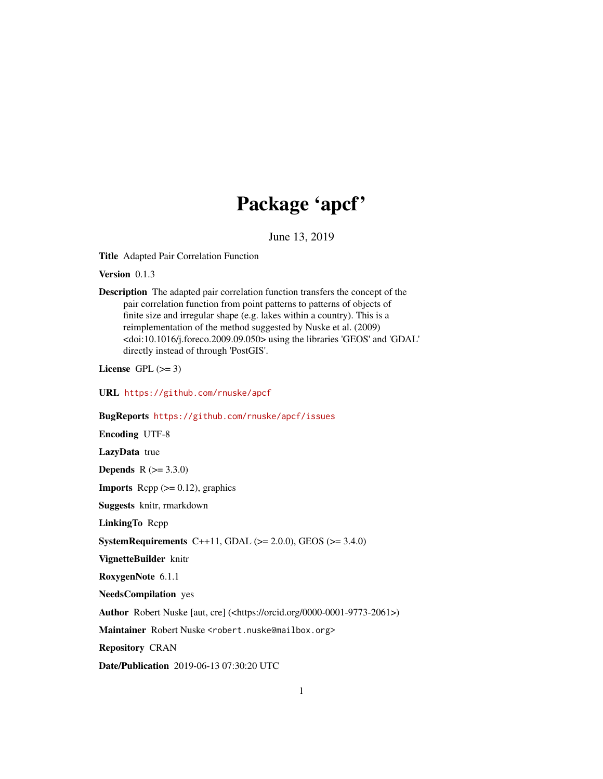# Package 'apcf'

June 13, 2019

<span id="page-0-0"></span>Title Adapted Pair Correlation Function

Version 0.1.3

Description The adapted pair correlation function transfers the concept of the pair correlation function from point patterns to patterns of objects of finite size and irregular shape (e.g. lakes within a country). This is a reimplementation of the method suggested by Nuske et al. (2009) <doi:10.1016/j.foreco.2009.09.050> using the libraries 'GEOS' and 'GDAL' directly instead of through 'PostGIS'.

License GPL  $(>= 3)$ 

URL <https://github.com/rnuske/apcf>

# BugReports <https://github.com/rnuske/apcf/issues>

Encoding UTF-8 LazyData true **Depends** R  $(>= 3.3.0)$ **Imports** Rcpp  $(>= 0.12)$ , graphics Suggests knitr, rmarkdown LinkingTo Rcpp **SystemRequirements** C++11, GDAL ( $>= 2.0.0$ ), GEOS ( $>= 3.4.0$ ) VignetteBuilder knitr RoxygenNote 6.1.1 NeedsCompilation yes Author Robert Nuske [aut, cre] (<https://orcid.org/0000-0001-9773-2061>) Maintainer Robert Nuske <robert.nuske@mailbox.org> Repository CRAN

Date/Publication 2019-06-13 07:30:20 UTC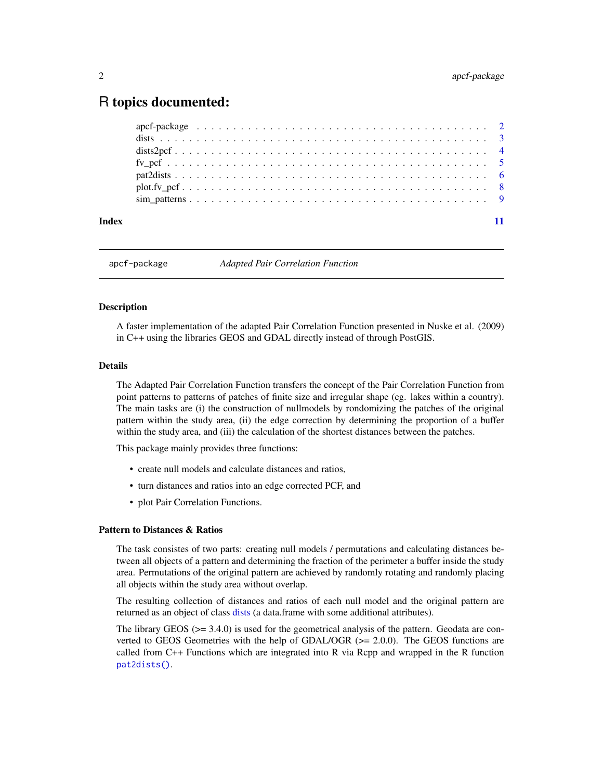# <span id="page-1-0"></span>R topics documented:

| Index |  |  |  |  |  |  |  |  |  |  |  |  |  |  |  |  |  |  |  |  |
|-------|--|--|--|--|--|--|--|--|--|--|--|--|--|--|--|--|--|--|--|--|
|       |  |  |  |  |  |  |  |  |  |  |  |  |  |  |  |  |  |  |  |  |
|       |  |  |  |  |  |  |  |  |  |  |  |  |  |  |  |  |  |  |  |  |
|       |  |  |  |  |  |  |  |  |  |  |  |  |  |  |  |  |  |  |  |  |
|       |  |  |  |  |  |  |  |  |  |  |  |  |  |  |  |  |  |  |  |  |
|       |  |  |  |  |  |  |  |  |  |  |  |  |  |  |  |  |  |  |  |  |
|       |  |  |  |  |  |  |  |  |  |  |  |  |  |  |  |  |  |  |  |  |
|       |  |  |  |  |  |  |  |  |  |  |  |  |  |  |  |  |  |  |  |  |

apcf-package *Adapted Pair Correlation Function*

# Description

A faster implementation of the adapted Pair Correlation Function presented in Nuske et al. (2009) in C++ using the libraries GEOS and GDAL directly instead of through PostGIS.

#### Details

The Adapted Pair Correlation Function transfers the concept of the Pair Correlation Function from point patterns to patterns of patches of finite size and irregular shape (eg. lakes within a country). The main tasks are (i) the construction of nullmodels by rondomizing the patches of the original pattern within the study area, (ii) the edge correction by determining the proportion of a buffer within the study area, and (iii) the calculation of the shortest distances between the patches.

This package mainly provides three functions:

- create null models and calculate distances and ratios,
- turn distances and ratios into an edge corrected PCF, and
- plot Pair Correlation Functions.

# Pattern to Distances & Ratios

The task consistes of two parts: creating null models / permutations and calculating distances between all objects of a pattern and determining the fraction of the perimeter a buffer inside the study area. Permutations of the original pattern are achieved by randomly rotating and randomly placing all objects within the study area without overlap.

The resulting collection of distances and ratios of each null model and the original pattern are returned as an object of class [dists](#page-2-1) (a data.frame with some additional attributes).

The library GEOS (>= 3.4.0) is used for the geometrical analysis of the pattern. Geodata are converted to GEOS Geometries with the help of GDAL/OGR  $(>= 2.0.0)$ . The GEOS functions are called from C++ Functions which are integrated into R via Rcpp and wrapped in the R function [pat2dists\(\)](#page-5-1).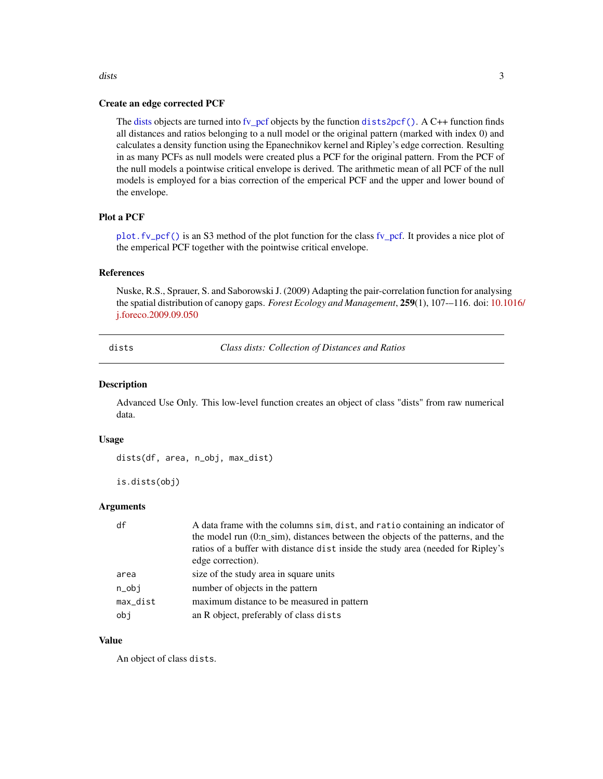# <span id="page-2-0"></span>Create an edge corrected PCF

The [dists](#page-2-1) objects are turned into [fv\\_pcf](#page-4-1) objects by the function [dists2pcf\(\)](#page-3-1). A C++ function finds all distances and ratios belonging to a null model or the original pattern (marked with index 0) and calculates a density function using the Epanechnikov kernel and Ripley's edge correction. Resulting in as many PCFs as null models were created plus a PCF for the original pattern. From the PCF of the null models a pointwise critical envelope is derived. The arithmetic mean of all PCF of the null models is employed for a bias correction of the emperical PCF and the upper and lower bound of the envelope.

# Plot a PCF

[plot.fv\\_pcf\(\)](#page-7-1) is an S3 method of the plot function for the class [fv\\_pcf.](#page-4-1) It provides a nice plot of the emperical PCF together with the pointwise critical envelope.

#### References

Nuske, R.S., Sprauer, S. and Saborowski J. (2009) Adapting the pair-correlation function for analysing the spatial distribution of canopy gaps. *Forest Ecology and Management*, 259(1), 107-–116. doi: [10.1](https://doi.org/10.1016/j.foreco.2009.09.050)016/ [j.foreco.2009.09.050](https://doi.org/10.1016/j.foreco.2009.09.050)

<span id="page-2-1"></span>dists *Class dists: Collection of Distances and Ratios*

#### Description

Advanced Use Only. This low-level function creates an object of class "dists" from raw numerical data.

#### Usage

dists(df, area, n\_obj, max\_dist)

is.dists(obj)

# Arguments

| df               | A data frame with the columns sim, dist, and ratio containing an indicator of    |
|------------------|----------------------------------------------------------------------------------|
|                  | the model run (0:n sim), distances between the objects of the patterns, and the  |
|                  | ration of a buffer with distance dist inside the study area (needed for Ripley's |
|                  | edge correction).                                                                |
| area             | size of the study area in square units                                           |
| $n_{\text{obj}}$ | number of objects in the pattern                                                 |
| max_dist         | maximum distance to be measured in pattern                                       |
| obi              | an R object, preferably of class dists                                           |
|                  |                                                                                  |

#### Value

An object of class dists.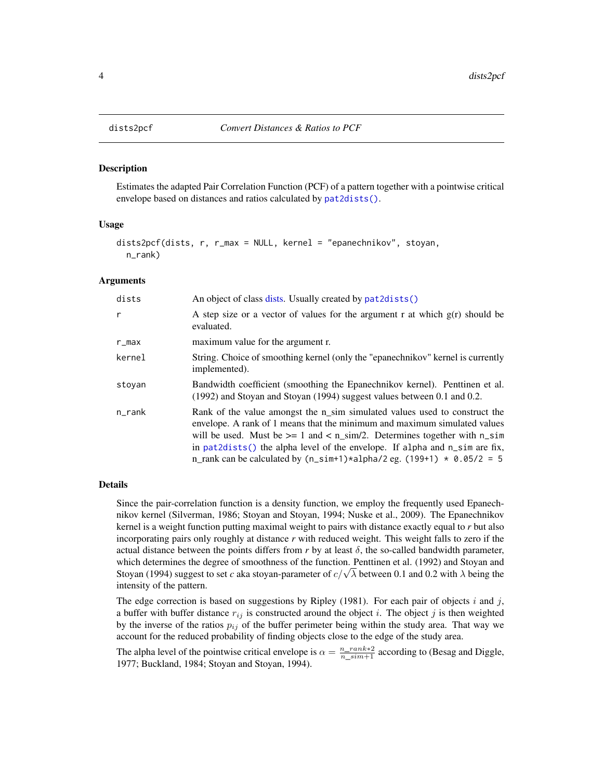#### Description

Estimates the adapted Pair Correlation Function (PCF) of a pattern together with a pointwise critical envelope based on distances and ratios calculated by [pat2dists\(\)](#page-5-1).

#### Usage

```
dists2pcf(dists, r, r_max = NULL, kernel = "epanechnikov", stoyan,
  n_rank)
```
#### Arguments

| dists        | An object of class dists. Usually created by pat2dists()                                                                                                                                                                                                                                                                                                                                                    |
|--------------|-------------------------------------------------------------------------------------------------------------------------------------------------------------------------------------------------------------------------------------------------------------------------------------------------------------------------------------------------------------------------------------------------------------|
| $\mathsf{r}$ | A step size or a vector of values for the argument r at which $g(r)$ should be<br>evaluated.                                                                                                                                                                                                                                                                                                                |
| r_max        | maximum value for the argument r.                                                                                                                                                                                                                                                                                                                                                                           |
| kernel       | String. Choice of smoothing kernel (only the "epanechnikov" kernel is currently<br>implemented).                                                                                                                                                                                                                                                                                                            |
| stoyan       | Bandwidth coefficient (smoothing the Epanechnikov kernel). Penttinen et al.<br>(1992) and Stoyan and Stoyan (1994) suggest values between 0.1 and 0.2.                                                                                                                                                                                                                                                      |
| n_rank       | Rank of the value amongst the n_sim simulated values used to construct the<br>envelope. A rank of 1 means that the minimum and maximum simulated values<br>will be used. Must be $\ge$ = 1 and < n_sim/2. Determines together with n_sim<br>in $pat2dists()$ the alpha level of the envelope. If alpha and $n\_sim$ are fix,<br>n_rank can be calculated by $(n\_sim+1)*alpha/2$ eg. $(199+1) * 0.05/2 = 5$ |

#### Details

Since the pair-correlation function is a density function, we employ the frequently used Epanechnikov kernel (Silverman, 1986; Stoyan and Stoyan, 1994; Nuske et al., 2009). The Epanechnikov kernel is a weight function putting maximal weight to pairs with distance exactly equal to *r* but also incorporating pairs only roughly at distance *r* with reduced weight. This weight falls to zero if the actual distance between the points differs from  $r$  by at least  $\delta$ , the so-called bandwidth parameter, which determines the degree of smoothness of the function. Penttinen et al. (1992) and Stoyan and which determines the degree of smoothness of the function. Penttinen et al. (1992) and Stoyan and Stoyan and Stoyan and Stoyan and Stoyan and Stoyan and Stoyan and Stoyan and Stoyan and Stoyan and Stoyan extending the Sto intensity of the pattern.

The edge correction is based on suggestions by Ripley (1981). For each pair of objects i and j, a buffer with buffer distance  $r_{ij}$  is constructed around the object i. The object j is then weighted by the inverse of the ratios  $p_{ij}$  of the buffer perimeter being within the study area. That way we account for the reduced probability of finding objects close to the edge of the study area.

The alpha level of the pointwise critical envelope is  $\alpha = \frac{n_{\text{max}}k*2}{n_{\text{min}}+1}$  according to (Besag and Diggle, 1977; Buckland, 1984; Stoyan and Stoyan, 1994).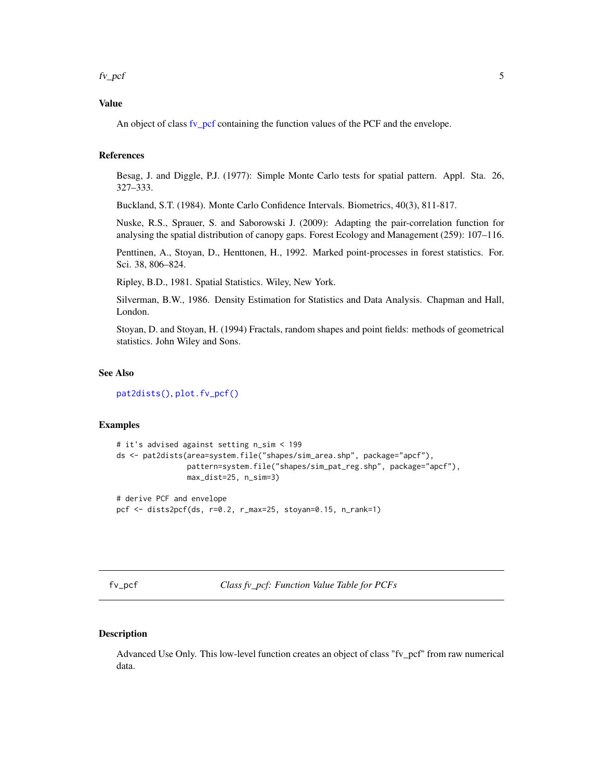<span id="page-4-0"></span> $f_{\nu\_pcf}$  5

# Value

An object of class [fv\\_pcf](#page-4-1) containing the function values of the PCF and the envelope.

# References

Besag, J. and Diggle, P.J. (1977): Simple Monte Carlo tests for spatial pattern. Appl. Sta. 26, 327–333.

Buckland, S.T. (1984). Monte Carlo Confidence Intervals. Biometrics, 40(3), 811-817.

Nuske, R.S., Sprauer, S. and Saborowski J. (2009): Adapting the pair-correlation function for analysing the spatial distribution of canopy gaps. Forest Ecology and Management (259): 107–116.

Penttinen, A., Stoyan, D., Henttonen, H., 1992. Marked point-processes in forest statistics. For. Sci. 38, 806–824.

Ripley, B.D., 1981. Spatial Statistics. Wiley, New York.

Silverman, B.W., 1986. Density Estimation for Statistics and Data Analysis. Chapman and Hall, London.

Stoyan, D. and Stoyan, H. (1994) Fractals, random shapes and point fields: methods of geometrical statistics. John Wiley and Sons.

# See Also

[pat2dists\(\)](#page-5-1), [plot.fv\\_pcf\(\)](#page-7-1)

# Examples

```
# it's advised against setting n_sim < 199
ds <- pat2dists(area=system.file("shapes/sim_area.shp", package="apcf"),
                pattern=system.file("shapes/sim_pat_reg.shp", package="apcf"),
                max_dist=25, n_sim=3)
```
# derive PCF and envelope pcf <- dists2pcf(ds, r=0.2, r\_max=25, stoyan=0.15, n\_rank=1)

<span id="page-4-1"></span>fv\_pcf *Class fv\_pcf: Function Value Table for PCFs*

#### Description

Advanced Use Only. This low-level function creates an object of class "fv\_pcf" from raw numerical data.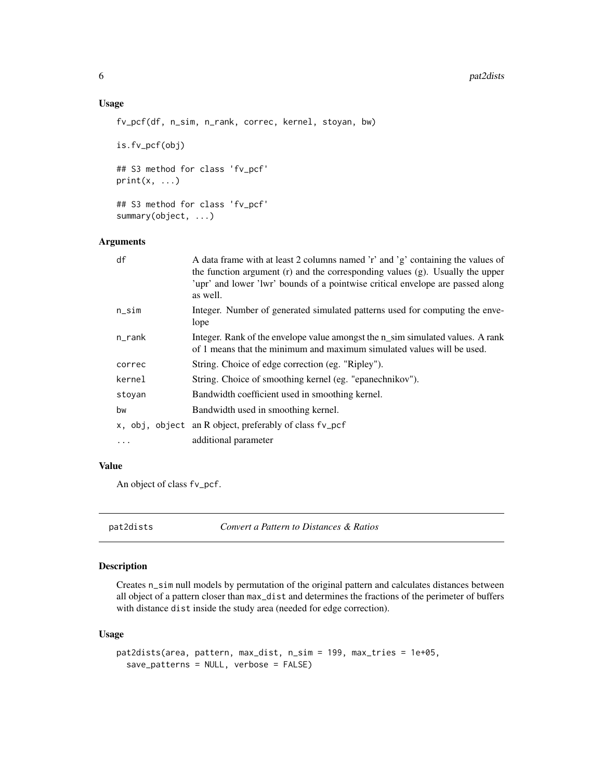#### <span id="page-5-0"></span>6 pat2dists and pat2dists are not provided by the pat2dists and pat2dists are not pat2dists and pat2dists are not pat2dists and pat2dists are not pat2dists and pat2dists are not pat2dists and pat2dists are not pat2dists an

# Usage

```
fv_pcf(df, n_sim, n_rank, correc, kernel, stoyan, bw)
```
is.fv\_pcf(obj)

## S3 method for class 'fv\_pcf'  $print(x, \ldots)$ 

## S3 method for class 'fv\_pcf' summary(object, ...)

# Arguments

| df       | A data frame with at least 2 columns named 'r' and 'g' containing the values of<br>the function argument $(r)$ and the corresponding values $(g)$ . Usually the upper<br>'upr' and lower 'lwr' bounds of a pointwise critical envelope are passed along<br>as well. |
|----------|---------------------------------------------------------------------------------------------------------------------------------------------------------------------------------------------------------------------------------------------------------------------|
| $n$ _sim | Integer. Number of generated simulated patterns used for computing the enve-<br>lope                                                                                                                                                                                |
| n_rank   | Integer. Rank of the envelope value amongst the n_sim simulated values. A rank<br>of 1 means that the minimum and maximum simulated values will be used.                                                                                                            |
| correc   | String. Choice of edge correction (eg. "Ripley").                                                                                                                                                                                                                   |
| kernel   | String. Choice of smoothing kernel (eg. "epanechnikov").                                                                                                                                                                                                            |
| stoyan   | Bandwidth coefficient used in smoothing kernel.                                                                                                                                                                                                                     |
| bw       | Bandwidth used in smoothing kernel.                                                                                                                                                                                                                                 |
|          | x, obj, object an R object, preferably of class fv_pcf                                                                                                                                                                                                              |
| $\ddots$ | additional parameter                                                                                                                                                                                                                                                |

# Value

An object of class fv\_pcf.

<span id="page-5-1"></span>pat2dists *Convert a Pattern to Distances & Ratios*

# Description

Creates n\_sim null models by permutation of the original pattern and calculates distances between all object of a pattern closer than max\_dist and determines the fractions of the perimeter of buffers with distance dist inside the study area (needed for edge correction).

# Usage

```
pat2dists(area, pattern, max_dist, n_sim = 199, max_tries = 1e+05,
  save_patterns = NULL, verbose = FALSE)
```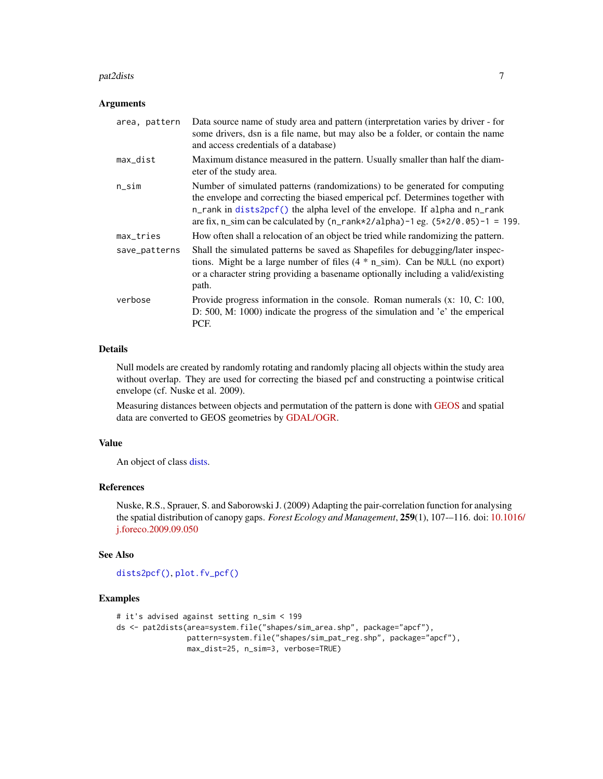#### <span id="page-6-0"></span>pat2dists 7

#### **Arguments**

| area, pattern | Data source name of study area and pattern (interpretation varies by driver - for<br>some drivers, dsn is a file name, but may also be a folder, or contain the name<br>and access credentials of a database)                                                                                                                                                            |
|---------------|--------------------------------------------------------------------------------------------------------------------------------------------------------------------------------------------------------------------------------------------------------------------------------------------------------------------------------------------------------------------------|
| max_dist      | Maximum distance measured in the pattern. Usually smaller than half the diam-<br>eter of the study area.                                                                                                                                                                                                                                                                 |
| n_sim         | Number of simulated patterns (randomizations) to be generated for computing<br>the envelope and correcting the biased emperical pcf. Determines together with<br>n_rank in dists2pcf() the alpha level of the envelope. If alpha and n_rank<br>are fix, n_sim can be calculated by $(n_{\text{rank}} \times 2/\text{alpha})$ -1 eg. $(5 \times 2/\text{0.05})$ -1 = 199. |
| max_tries     | How often shall a relocation of an object be tried while randomizing the pattern.                                                                                                                                                                                                                                                                                        |
| save_patterns | Shall the simulated patterns be saved as Shapefiles for debugging/later inspec-<br>tions. Might be a large number of files $(4 * n \sin)$ . Can be NULL (no export)<br>or a character string providing a basename optionally including a valid/existing<br>path.                                                                                                         |
| verbose       | Provide progress information in the console. Roman numerals $(x: 10, C: 100,$<br>D: 500, M: 1000) indicate the progress of the simulation and 'e' the emperical<br>PCF.                                                                                                                                                                                                  |

# Details

Null models are created by randomly rotating and randomly placing all objects within the study area without overlap. They are used for correcting the biased pcf and constructing a pointwise critical envelope (cf. Nuske et al. 2009).

Measuring distances between objects and permutation of the pattern is done with [GEOS](https://trac.osgeo.org/geos) and spatial data are converted to GEOS geometries by [GDAL/OGR.](http://www.gdal.org)

# Value

An object of class [dists.](#page-2-1)

# References

Nuske, R.S., Sprauer, S. and Saborowski J. (2009) Adapting the pair-correlation function for analysing the spatial distribution of canopy gaps. *Forest Ecology and Management*, 259(1), 107-–116. doi: [10.1](https://doi.org/10.1016/j.foreco.2009.09.050)016/ [j.foreco.2009.09.050](https://doi.org/10.1016/j.foreco.2009.09.050)

# See Also

[dists2pcf\(\)](#page-3-1), [plot.fv\\_pcf\(\)](#page-7-1)

#### Examples

```
# it's advised against setting n_sim < 199
ds <- pat2dists(area=system.file("shapes/sim_area.shp", package="apcf"),
               pattern=system.file("shapes/sim_pat_reg.shp", package="apcf"),
               max_dist=25, n_sim=3, verbose=TRUE)
```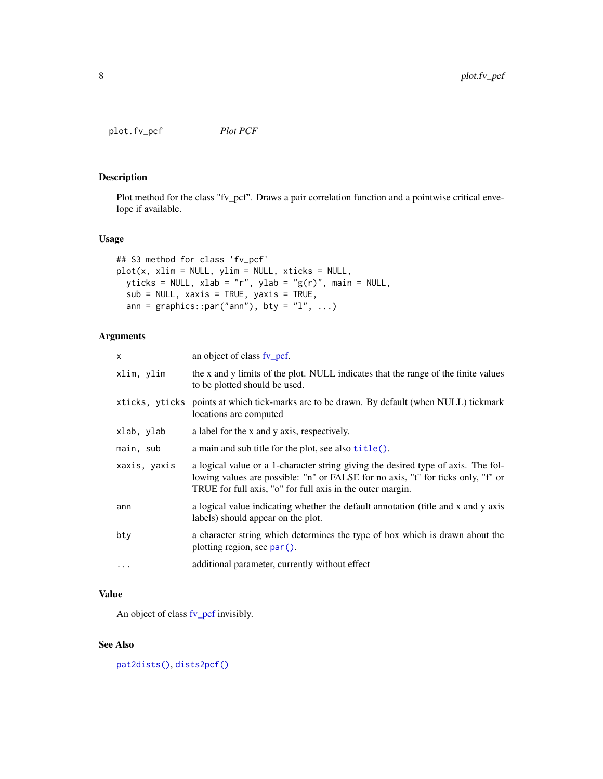<span id="page-7-1"></span><span id="page-7-0"></span>plot.fv\_pcf *Plot PCF*

# Description

Plot method for the class "fv\_pcf". Draws a pair correlation function and a pointwise critical envelope if available.

# Usage

```
## S3 method for class 'fv_pcf'
plot(x, xlim = NULL, ylim = NULL, xticks = NULL,
 yticks = NULL, xlab = "r", ylab = "g(r)", main = NULL,
 sub = NULL, xaxis = TRUE, yaxis = TRUE,
  ann = graphics::par("ann"), bty = "l", ...)
```
# Arguments

| x            | an object of class fv_pcf.                                                                                                                                                                                                          |
|--------------|-------------------------------------------------------------------------------------------------------------------------------------------------------------------------------------------------------------------------------------|
| xlim, ylim   | the x and y limits of the plot. NULL indicates that the range of the finite values<br>to be plotted should be used.                                                                                                                 |
|              | xticks, yticks points at which tick-marks are to be drawn. By default (when NULL) tickmark<br>locations are computed                                                                                                                |
| xlab, ylab   | a label for the x and y axis, respectively.                                                                                                                                                                                         |
| main, sub    | a main and sub title for the plot, see also title().                                                                                                                                                                                |
| xaxis, yaxis | a logical value or a 1-character string giving the desired type of axis. The fol-<br>lowing values are possible: "n" or FALSE for no axis, "t" for ticks only, "f" or<br>TRUE for full axis, "o" for full axis in the outer margin. |
| ann          | a logical value indicating whether the default annotation (title and x and y axis<br>labels) should appear on the plot.                                                                                                             |
| bty          | a character string which determines the type of box which is drawn about the<br>plotting region, see par().                                                                                                                         |
| $\cdots$     | additional parameter, currently without effect                                                                                                                                                                                      |

# Value

An object of class [fv\\_pcf](#page-4-1) invisibly.

# See Also

[pat2dists\(\)](#page-5-1), [dists2pcf\(\)](#page-3-1)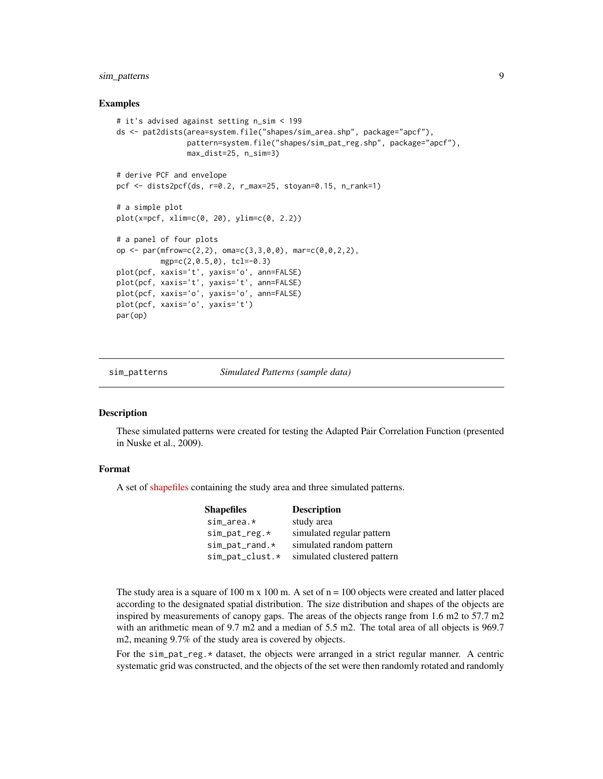# <span id="page-8-0"></span>sim\_patterns 9

# Examples

```
# it's advised against setting n_sim < 199
ds <- pat2dists(area=system.file("shapes/sim_area.shp", package="apcf"),
                pattern=system.file("shapes/sim_pat_reg.shp", package="apcf"),
                max_dist=25, n_sim=3)
# derive PCF and envelope
pcf <- dists2pcf(ds, r=0.2, r_max=25, stoyan=0.15, n_rank=1)
# a simple plot
plot(x=pcf, xlim=c(0, 20), ylim=c(0, 2.2))
# a panel of four plots
op <- par(mfrow=c(2,2), oma=c(3,3,0,0), mar=c(0,0,2,2),
          mgp=c(2,0.5,0), tcl=-0.3)
plot(pcf, xaxis='t', yaxis='o', ann=FALSE)
plot(pcf, xaxis='t', yaxis='t', ann=FALSE)
plot(pcf, xaxis='o', yaxis='o', ann=FALSE)
plot(pcf, xaxis='o', yaxis='t')
par(op)
```
sim\_patterns *Simulated Patterns (sample data)*

#### **Description**

These simulated patterns were created for testing the Adapted Pair Correlation Function (presented in Nuske et al., 2009).

# Format

A set of [shapefiles](https://en.wikipedia.org/wiki/Shapefile) containing the study area and three simulated patterns.

| <b>Shapefiles</b>  | <b>Description</b>          |
|--------------------|-----------------------------|
| $sim\_area.*$      | study area                  |
| $sim\_pat\_reg.*$  | simulated regular pattern   |
| $sim\_pat\_rand.*$ | simulated random pattern    |
| sim_pat_clust.*    | simulated clustered pattern |

The study area is a square of 100 m x 100 m. A set of  $n = 100$  objects were created and latter placed according to the designated spatial distribution. The size distribution and shapes of the objects are inspired by measurements of canopy gaps. The areas of the objects range from 1.6 m2 to 57.7 m2 with an arithmetic mean of 9.7 m2 and a median of 5.5 m2. The total area of all objects is 969.7 m2, meaning 9.7% of the study area is covered by objects.

For the sim\_pat\_reg.\* dataset, the objects were arranged in a strict regular manner. A centric systematic grid was constructed, and the objects of the set were then randomly rotated and randomly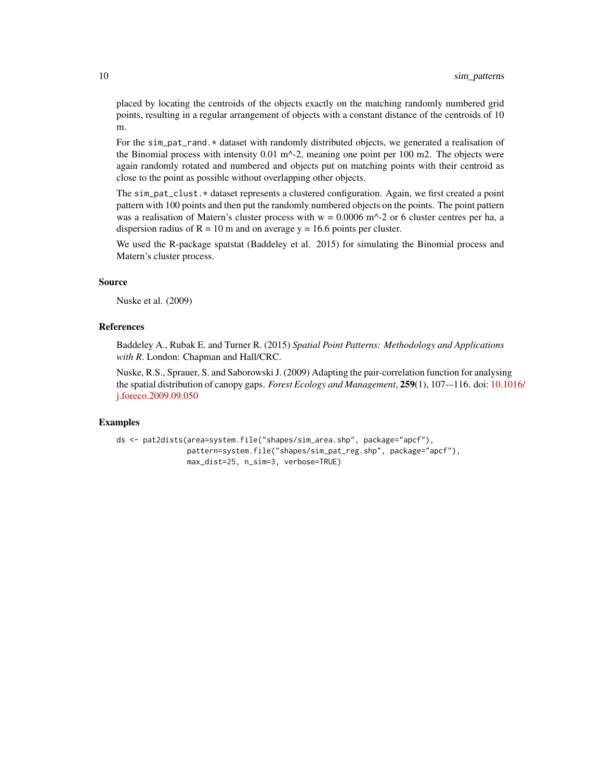placed by locating the centroids of the objects exactly on the matching randomly numbered grid points, resulting in a regular arrangement of objects with a constant distance of the centroids of 10 m.

For the sim\_pat\_rand.\* dataset with randomly distributed objects, we generated a realisation of the Binomial process with intensity  $0.01 \text{ m}^{-2}$ , meaning one point per 100 m2. The objects were again randomly rotated and numbered and objects put on matching points with their centroid as close to the point as possible without overlapping other objects.

The sim\_pat\_clust.\* dataset represents a clustered configuration. Again, we first created a point pattern with 100 points and then put the randomly numbered objects on the points. The point pattern was a realisation of Matern's cluster process with  $w = 0.0006$  m<sup> $\sim$ </sup>-2 or 6 cluster centres per ha, a dispersion radius of  $R = 10$  m and on average  $y = 16.6$  points per cluster.

We used the R-package spatstat (Baddeley et al. 2015) for simulating the Binomial process and Matern's cluster process.

#### Source

Nuske et al. (2009)

#### **References**

Baddeley A., Rubak E. and Turner R. (2015) *Spatial Point Patterns: Methodology and Applications with R*. London: Chapman and Hall/CRC.

Nuske, R.S., Sprauer, S. and Saborowski J. (2009) Adapting the pair-correlation function for analysing the spatial distribution of canopy gaps. *Forest Ecology and Management*, 259(1), 107-–116. doi: [10.1](https://doi.org/10.1016/j.foreco.2009.09.050)016/ [j.foreco.2009.09.050](https://doi.org/10.1016/j.foreco.2009.09.050)

#### Examples

```
ds <- pat2dists(area=system.file("shapes/sim_area.shp", package="apcf"),
                pattern=system.file("shapes/sim_pat_reg.shp", package="apcf"),
                max_dist=25, n_sim=3, verbose=TRUE)
```